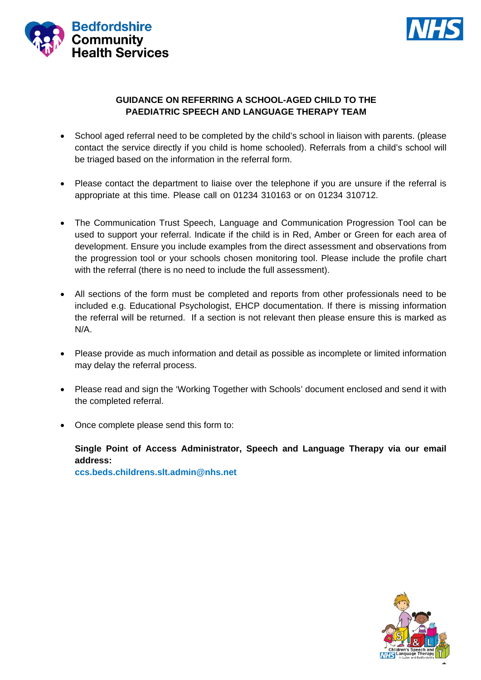



### **GUIDANCE ON REFERRING A SCHOOL-AGED CHILD TO THE PAEDIATRIC SPEECH AND LANGUAGE THERAPY TEAM**

- School aged referral need to be completed by the child's school in liaison with parents. (please contact the service directly if you child is home schooled). Referrals from a child's school will be triaged based on the information in the referral form.
- Please contact the department to liaise over the telephone if you are unsure if the referral is appropriate at this time. Please call on 01234 310163 or on 01234 310712.
- The Communication Trust Speech, Language and Communication Progression Tool can be used to support your referral. Indicate if the child is in Red, Amber or Green for each area of development. Ensure you include examples from the direct assessment and observations from the progression tool or your schools chosen monitoring tool. Please include the profile chart with the referral (there is no need to include the full assessment).
- All sections of the form must be completed and reports from other professionals need to be included e.g. Educational Psychologist, EHCP documentation. If there is missing information the referral will be returned. If a section is not relevant then please ensure this is marked as N/A.
- Please provide as much information and detail as possible as incomplete or limited information may delay the referral process.
- Please read and sign the 'Working Together with Schools' document enclosed and send it with the completed referral.
- Once complete please send this form to:

# **Single Point of Access Administrator, Speech and Language Therapy via our email address:**

**ccs.beds.childrens.slt.admin@nhs.net**

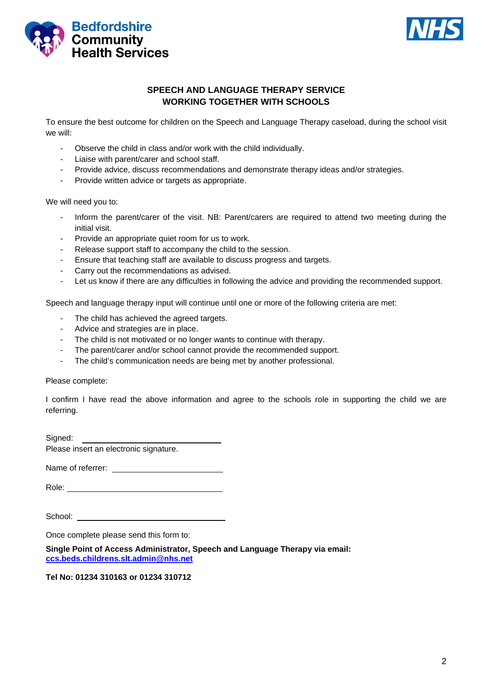



### **SPEECH AND LANGUAGE THERAPY SERVICE WORKING TOGETHER WITH SCHOOLS**

To ensure the best outcome for children on the Speech and Language Therapy caseload, during the school visit we will:

- Observe the child in class and/or work with the child individually.
- Liaise with parent/carer and school staff.
- Provide advice, discuss recommendations and demonstrate therapy ideas and/or strategies.
- Provide written advice or targets as appropriate.

We will need you to:

- Inform the parent/carer of the visit. NB: Parent/carers are required to attend two meeting during the initial visit.
- Provide an appropriate quiet room for us to work.
- Release support staff to accompany the child to the session.
- Ensure that teaching staff are available to discuss progress and targets.
- Carry out the recommendations as advised.
- Let us know if there are any difficulties in following the advice and providing the recommended support.

Speech and language therapy input will continue until one or more of the following criteria are met:

- The child has achieved the agreed targets.
- Advice and strategies are in place.
- The child is not motivated or no longer wants to continue with therapy.
- The parent/carer and/or school cannot provide the recommended support.
- The child's communication needs are being met by another professional.

Please complete:

I confirm I have read the above information and agree to the schools role in supporting the child we are referring.

Signed:<br>
Please insert an electronic signature.

Name of referrer: \_\_\_\_\_

Role: **Role: Role: Role: Role: Role: Role: Role: Role: Role: Role: Role: Role: Role: Role: Role: Role: Role: Role: Role: Role: Role: Role: Role: Role: Role: Role: Role:**

School: **School:** 

Once complete please send this form to:

**Single Point of Access Administrator, Speech and Language Therapy via email: ccs.beds.childrens.slt.admin@nhs.net**

**Tel No: 01234 310163 or 01234 310712**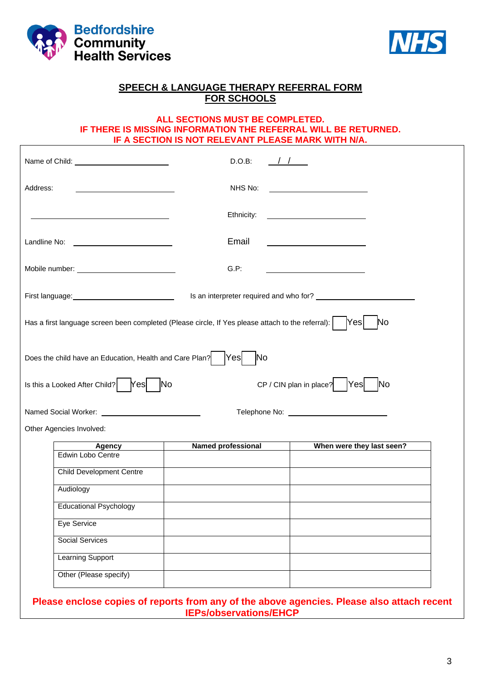



### **SPEECH & LANGUAGE THERAPY REFERRAL FORM FOR SCHOOLS**

### **ALL SECTIONS MUST BE COMPLETED. IF THERE IS MISSING INFORMATION THE REFERRAL WILL BE RETURNED. IF A SECTION IS NOT RELEVANT PLEASE MARK WITH N/A.**

|                                                                                                   | D.O.B:                         |                                                |
|---------------------------------------------------------------------------------------------------|--------------------------------|------------------------------------------------|
| Address:                                                                                          | NHS No:                        | <u> 1980 - Andrea Andrew Maria (b. 1980)</u>   |
|                                                                                                   | Ethnicity:                     | <u> The Communication of the Communication</u> |
|                                                                                                   | Email                          |                                                |
|                                                                                                   | G.P.                           |                                                |
|                                                                                                   |                                |                                                |
| Has a first language screen been completed (Please circle, If Yes please attach to the referral): |                                | Yes<br><b>No</b>                               |
| Does the child have an Education, Health and Care Plan?                                           | Yes <br>$\overline{\text{No}}$ |                                                |
|                                                                                                   |                                |                                                |
| Yes                                                                                               | N <sub>o</sub>                 | Yes <br>CP / CIN plan in place?<br><b>No</b>   |
| Is this a Looked After Child?                                                                     |                                |                                                |
|                                                                                                   |                                |                                                |
|                                                                                                   | <b>Named professional</b>      | When were they last seen?                      |
| <b>Agency</b><br>Edwin Lobo Centre                                                                |                                |                                                |
| <b>Child Development Centre</b>                                                                   |                                |                                                |
| Audiology                                                                                         |                                |                                                |
| <b>Educational Psychology</b>                                                                     |                                |                                                |
| Eye Service                                                                                       |                                |                                                |
| <b>Social Services</b>                                                                            |                                |                                                |
| Other Agencies Involved:<br><b>Learning Support</b>                                               |                                |                                                |

copies of reports from any of the above agencies. Please also attach recent **IEPs/observations/EHCP**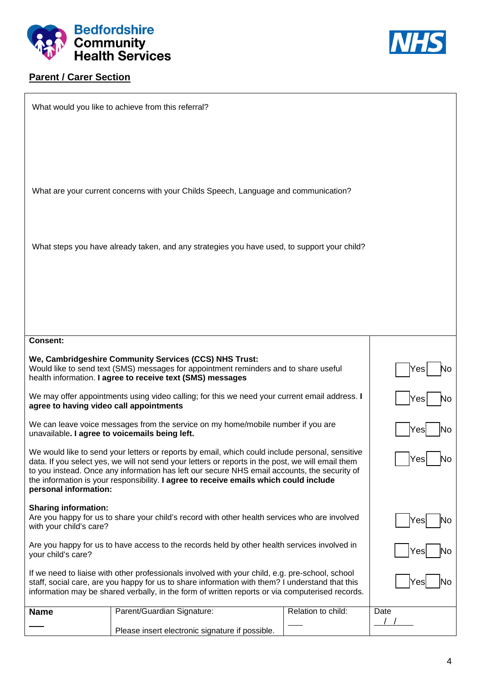

## **Parent / Carer Section**



|                                                                                                                                                                                                                                                                                                                                                                                                                        | What would you like to achieve from this referral?                                                                                                                                                           |                    |      |
|------------------------------------------------------------------------------------------------------------------------------------------------------------------------------------------------------------------------------------------------------------------------------------------------------------------------------------------------------------------------------------------------------------------------|--------------------------------------------------------------------------------------------------------------------------------------------------------------------------------------------------------------|--------------------|------|
|                                                                                                                                                                                                                                                                                                                                                                                                                        |                                                                                                                                                                                                              |                    |      |
|                                                                                                                                                                                                                                                                                                                                                                                                                        |                                                                                                                                                                                                              |                    |      |
|                                                                                                                                                                                                                                                                                                                                                                                                                        | What are your current concerns with your Childs Speech, Language and communication?                                                                                                                          |                    |      |
|                                                                                                                                                                                                                                                                                                                                                                                                                        |                                                                                                                                                                                                              |                    |      |
|                                                                                                                                                                                                                                                                                                                                                                                                                        |                                                                                                                                                                                                              |                    |      |
|                                                                                                                                                                                                                                                                                                                                                                                                                        | What steps you have already taken, and any strategies you have used, to support your child?                                                                                                                  |                    |      |
|                                                                                                                                                                                                                                                                                                                                                                                                                        |                                                                                                                                                                                                              |                    |      |
|                                                                                                                                                                                                                                                                                                                                                                                                                        |                                                                                                                                                                                                              |                    |      |
|                                                                                                                                                                                                                                                                                                                                                                                                                        |                                                                                                                                                                                                              |                    |      |
| <b>Consent:</b>                                                                                                                                                                                                                                                                                                                                                                                                        |                                                                                                                                                                                                              |                    |      |
|                                                                                                                                                                                                                                                                                                                                                                                                                        | We, Cambridgeshire Community Services (CCS) NHS Trust:<br>Would like to send text (SMS) messages for appointment reminders and to share useful<br>health information. I agree to receive text (SMS) messages |                    | Y es |
| We may offer appointments using video calling; for this we need your current email address. I<br>agree to having video call appointments                                                                                                                                                                                                                                                                               | Y es                                                                                                                                                                                                         |                    |      |
| We can leave voice messages from the service on my home/mobile number if you are<br>unavailable. I agree to voicemails being left.                                                                                                                                                                                                                                                                                     | Y es                                                                                                                                                                                                         |                    |      |
| We would like to send your letters or reports by email, which could include personal, sensitive<br>data. If you select yes, we will not send your letters or reports in the post, we will email them<br>to you instead. Once any information has left our secure NHS email accounts, the security of<br>the information is your responsibility. I agree to receive emails which could include<br>personal information: | Yes<br>No                                                                                                                                                                                                    |                    |      |
| <b>Sharing information:</b><br>Are you happy for us to share your child's record with other health services who are involved<br>with your child's care?                                                                                                                                                                                                                                                                | Yes<br>NO                                                                                                                                                                                                    |                    |      |
| Are you happy for us to have access to the records held by other health services involved in<br>your child's care?                                                                                                                                                                                                                                                                                                     | Yes                                                                                                                                                                                                          |                    |      |
| If we need to liaise with other professionals involved with your child, e.g. pre-school, school<br>staff, social care, are you happy for us to share information with them? I understand that this<br>information may be shared verbally, in the form of written reports or via computerised records.                                                                                                                  | Y es                                                                                                                                                                                                         |                    |      |
| <b>Name</b>                                                                                                                                                                                                                                                                                                                                                                                                            | Parent/Guardian Signature:                                                                                                                                                                                   | Relation to child: | Date |
|                                                                                                                                                                                                                                                                                                                                                                                                                        |                                                                                                                                                                                                              |                    |      |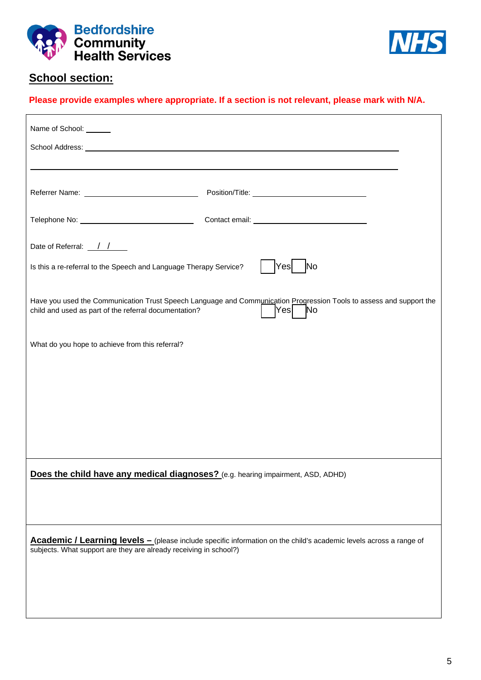



# **School section:**

### **Please provide examples where appropriate. If a section is not relevant, please mark with N/A.**

| Name of School: ______                                                                                                                                                                                                        |
|-------------------------------------------------------------------------------------------------------------------------------------------------------------------------------------------------------------------------------|
| School Address: New York Changes and School Address: New York Changes and School Address: New York Changes and School Address: New York Changes and School Address: New York Changes and School Address: New York Changes and |
|                                                                                                                                                                                                                               |
| Position/Title: New York District Position / Title:                                                                                                                                                                           |
|                                                                                                                                                                                                                               |
| Date of Referral: $\frac{\sqrt{}}{\sqrt{}}$                                                                                                                                                                                   |
| Is this a re-referral to the Speech and Language Therapy Service?<br>Yes<br>No                                                                                                                                                |
| Have you used the Communication Trust Speech Language and Communication Progression Tools to assess and support the<br>$\vert$ Yes $\vert$<br><b>No</b><br>child and used as part of the referral documentation?              |
| What do you hope to achieve from this referral?                                                                                                                                                                               |
|                                                                                                                                                                                                                               |
|                                                                                                                                                                                                                               |
|                                                                                                                                                                                                                               |
|                                                                                                                                                                                                                               |
| Does the child have any medical diagnoses? (e.g. hearing impairment, ASD, ADHD)                                                                                                                                               |
|                                                                                                                                                                                                                               |
|                                                                                                                                                                                                                               |
| Academic / Learning levels - (please include specific information on the child's academic levels across a range of<br>subjects. What support are they are already receiving in school?)                                       |
|                                                                                                                                                                                                                               |
|                                                                                                                                                                                                                               |
|                                                                                                                                                                                                                               |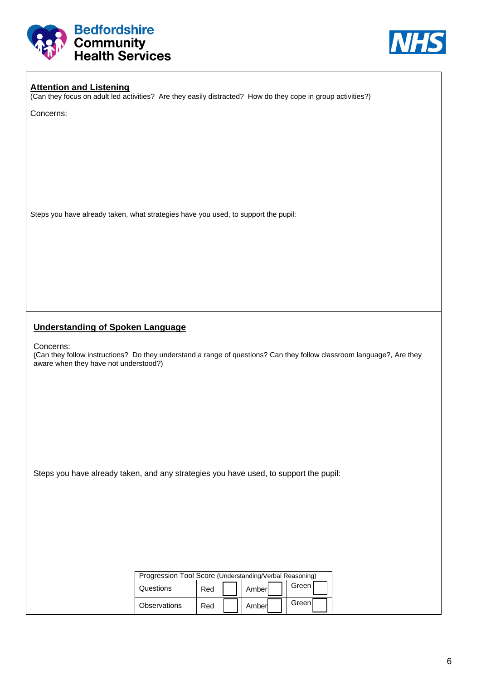



### **Attention and Listening**

(Can they focus on adult led activities? Are they easily distracted? How do they cope in group activities?)

Concerns:

Steps you have already taken, what strategies have you used, to support the pupil:

### **Understanding of Spoken Language**

Concerns:

(Can they follow instructions? Do they understand a range of questions? Can they follow classroom language?, Are they aware when they have not understood?)

Steps you have already taken, and any strategies you have used, to support the pupil:

| Progression Tool Score (Understanding/Verbal Reasoning) |     |        |         |  |
|---------------------------------------------------------|-----|--------|---------|--|
| Questions                                               | Red | Amberl | Green I |  |
| <b>Observations</b>                                     | Red | Amberl | Greenl  |  |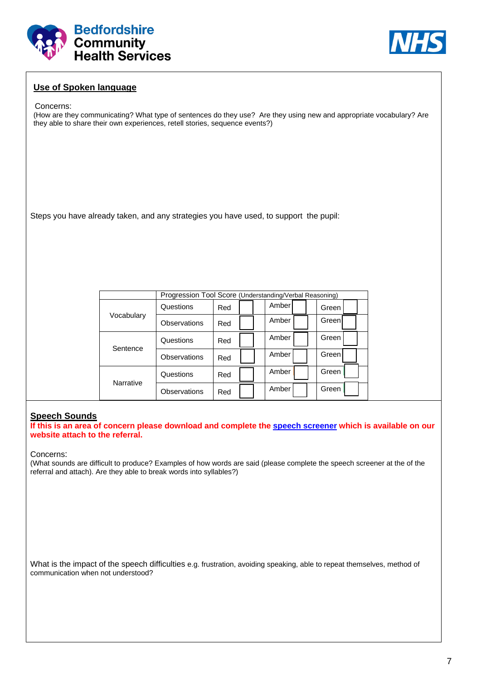



### **Use of Spoken language**

#### Concerns:

(How are they communicating? What type of sentences do they use? Are they using new and appropriate vocabulary? Are they able to share their own experiences, retell stories, sequence events?)

Steps you have already taken, and any strategies you have used, to support the pupil:

|                  | Progression Tool Score (Understanding/Verbal Reasoning) |     |       |         |  |  |  |
|------------------|---------------------------------------------------------|-----|-------|---------|--|--|--|
|                  | Questions                                               | Red | Amber | Green∃  |  |  |  |
| Vocabulary       | Observations                                            | Red | Amber | Green   |  |  |  |
|                  | Questions                                               | Red | Amber | Green ! |  |  |  |
| Sentence         | Observations                                            | Red | Amber | Green!  |  |  |  |
| <b>Narrative</b> | Questions                                               | Red | Amber | Green   |  |  |  |
|                  | Observations                                            | Red | Amber | Green   |  |  |  |

#### **Speech Sounds**

**If this is an area of concern please download and complete the speech screener which is available on our website attach to the referral.** 

Concerns:

(What sounds are difficult to produce? Examples of how words are said (please complete the speech screener at the of the referral and attach). Are they able to break words into syllables?)

What is the impact of the speech difficulties e.g. frustration, avoiding speaking, able to repeat themselves, method of communication when not understood?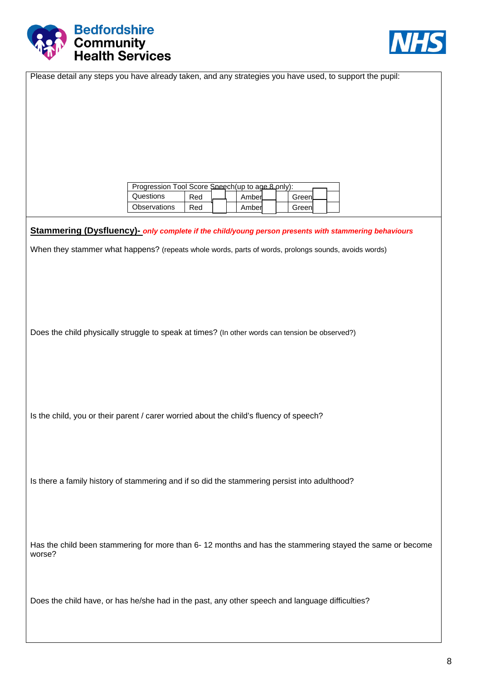



| Please detail any steps you have already taken, and any strategies you have used, to support the pupil:  |  |
|----------------------------------------------------------------------------------------------------------|--|
|                                                                                                          |  |
|                                                                                                          |  |
|                                                                                                          |  |
|                                                                                                          |  |
|                                                                                                          |  |
| Progression Tool Score Speech(up to age 8 pnly):                                                         |  |
| Questions<br>Red<br>Amber<br>Green                                                                       |  |
| Observations<br>Red<br>Amber<br>Green                                                                    |  |
| Stammering (Dysfluency)- only complete if the child/young person presents with stammering behaviours     |  |
| When they stammer what happens? (repeats whole words, parts of words, prolongs sounds, avoids words)     |  |
|                                                                                                          |  |
|                                                                                                          |  |
|                                                                                                          |  |
|                                                                                                          |  |
| Does the child physically struggle to speak at times? (In other words can tension be observed?)          |  |
|                                                                                                          |  |
|                                                                                                          |  |
|                                                                                                          |  |
|                                                                                                          |  |
| Is the child, you or their parent / carer worried about the child's fluency of speech?                   |  |
|                                                                                                          |  |
|                                                                                                          |  |
|                                                                                                          |  |
| Is there a family history of stammering and if so did the stammering persist into adulthood?             |  |
|                                                                                                          |  |
|                                                                                                          |  |
|                                                                                                          |  |
| Has the child been stammering for more than 6-12 months and has the stammering stayed the same or become |  |
| worse?                                                                                                   |  |
|                                                                                                          |  |
|                                                                                                          |  |
| Does the child have, or has he/she had in the past, any other speech and language difficulties?          |  |
|                                                                                                          |  |
|                                                                                                          |  |